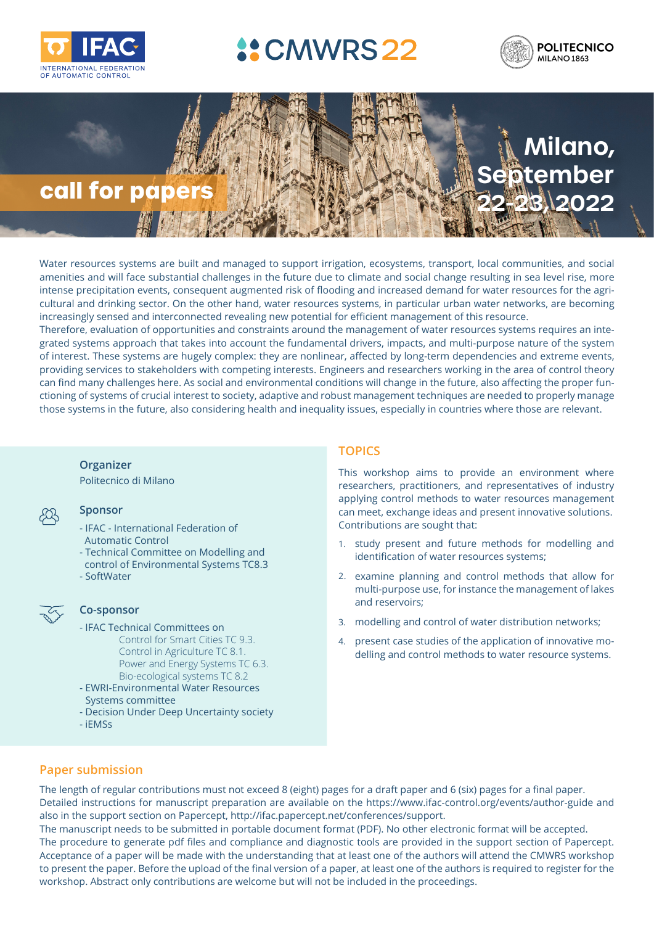

# **4: CMWRS 22** opon Linear Parameter Vary





*The Organising Committee has the pleasure to invite you to participate in the 4th IFAC Workshop*  amenities and will face substantial challenges in the future due to climate and social change resulting in sea level rise, more newere presepted of CPUs, conception algorithes had a mediately since the cases and the field of LPV systems co<br>cultural and drinking sector. On the other hand, water resources systems, in particular urban water networks, increasingly sensed and interconnected revealing new potential for efficient management of this resource. Water resources systems are built and managed to support irrigation, ecosystems, transport, local communities, and social ancrinces and will face substantial chailenges in the future due to climate and social charge resulting in sea lever rise, more<br>intense precipitation events, consequent augmented risk of flooding and increased demand for w

Therefore, evaluation of opportunities and constraints around the management of water resources systems requires an integrated systems approach that takes into account the fundamental drivers, impacts, and multi-purpose nature of the system of interest. These systems are hugely complex: they are nonlinear, affected by long-term dependencies and extreme events, providing services to stakeholders with competing interests. Engineers and researchers working in the area of control theory can find many challenges here. As social and environmental conditions will change in the future, also affecting the proper functioning of systems of crucial interest to society, adaptive and robust management techniques are needed to properly manage those systems in the future, also considering health and inequality issues, especially in countries where those are relevant.

## **Organizer**

**•Industry Chair** Politecnico di Milano

### **Sponsor • Editor**

- Para Panternatione<br>Automatic Control - IFAC - International Federation of
- Technical Committee on Modelling and
	- control of Environmental Systems TC8.3
- Sponsoring Technical Committees SoftWater



### $\overline{\mathcal{L}}$  **Co-sponsor**  $\chi$  as spain.

- TC 2.5 Robust Control IFAC Technical Committees on Important Dates Bio-ecological systems TC 8.2 Control for Smart Cities TC 9.3. Control in Agriculture TC 8.1. Power and Energy Systems TC 6.3.
- **• January 19, 2021:** Draft paper EWRI-Environmental Water Resources systems committee
	- 4. *Control of LPV systems:* robust control, optimal control, predictive control, con-- Decision Under Deep Uncertainty society
- **• March 1, 2021:** Acceptance iEMSs

### world to participate either in-person or online. The event will be held at the Politecni-Politecni-Politecni-P<br>The event will be held at the Politecni-Politecni-Politecni-Politecni-Politecni-Politecni-Politecni-Politecnico di Milano campus in Milano campus in Milano campus in Milano campus in Milano center and the most center and the most center and the most center and the most center and the most center and the most center and the most c **TOPICS**

This workshop aims to provide an environment where **Ethanming with a vibe that balances of industry** researchers, practitioners, and representatives of industry applying control methods to water resources management can meet, exchange ideas and present innovative solutions. Linate or Orio Contributions are sought that:

- <sup>id</sup> identification of water resources systems;<br>.3 1. study present and future methods for modelling and
- examine planning and control methods that allow for LPV systems: modelling, and control methods that allow for tion and control. In each of the important keywords include include the management of lakes 1. *Modelling and Identification of LPV systems.* In particular, how to obtain LPV modand reservoirs;
	- els for nonlinear systems, sampled-data systems, sampled-data systems, sampled-data systems, sampled-data systems, sampled-data systems, sampled-data systems, sampled-data systems, sampled-data systems, sampled-data system
- systems with saturation systems with systems  $\frac{1}{2}$  and  $\frac{1}{2}$  and  $\frac{1}{2}$  are settled in the application of innovative mo-2. *Analysis of LPV systems:* stability and stabilization, robustness issues, geometric delling and control methods to water resource systems. approaches, structural analysis, etc.

# **Paper submission**

**COPYRIGHT COPYRIGHT CONDITIONS: All publication** material submitted for presentation at an IFAC-sponsored meeting meeting meeting meeting meeting meeting meeting meeting meeting meeting meeting meeting meeting meeting m Detailed instructions for manuscript preparation are available on the https://www.ifac-control.org/events/author-guide and also in the support section on Papercept, http://ifac.papercept.net/conferences/support. abide by the highest standard of ethical behavior in the review process as explained on the Elsevier webpage *(https://www.* The length of regular contributions must not exceed 8 (eight) pages for a draft paper and 6 (six) pages for a final paper.

The manuscript needs to be submitted in portable document format (PDF). No other electronic format will be accepted. The procedure to generate pdf files and compliance and diagnostic tools are provided in the support section of Papercept. dexate presenting that at least and of the evithers will attend the CNWMPC werkender Acceptance of a paper will be made with the understanding that at least one of the authors will attend the CMWRS workshop to present the paper. Before the upload of the final version of a paper, at least one of the authors is required to register for the ame but will not be included in the preceedings workshop. Abstract only contributions are welcome but will not be included in the proceedings.<br>'